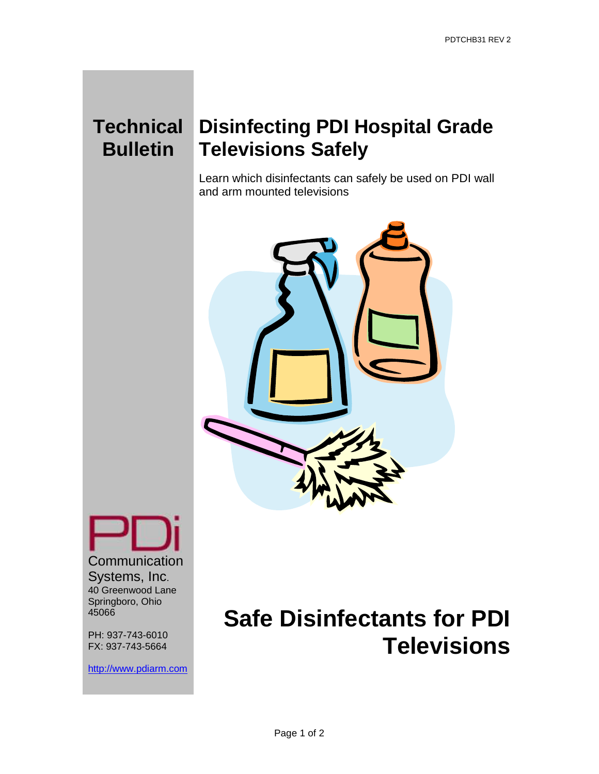# **Bulletin**

### **Technical Disinfecting PDI Hospital Grade Televisions Safely**

Learn which disinfectants can safely be used on PDI wall and arm mounted televisions



**Communication** Systems, Inc. 40 Greenwood Lane Springboro, Ohio 45066

PH: 937-743-6010 FX: 937-743-5664

[http://www.pdiarm.com](http://www.pdiarm.com/)

## **Safe Disinfectants for PDI Televisions**